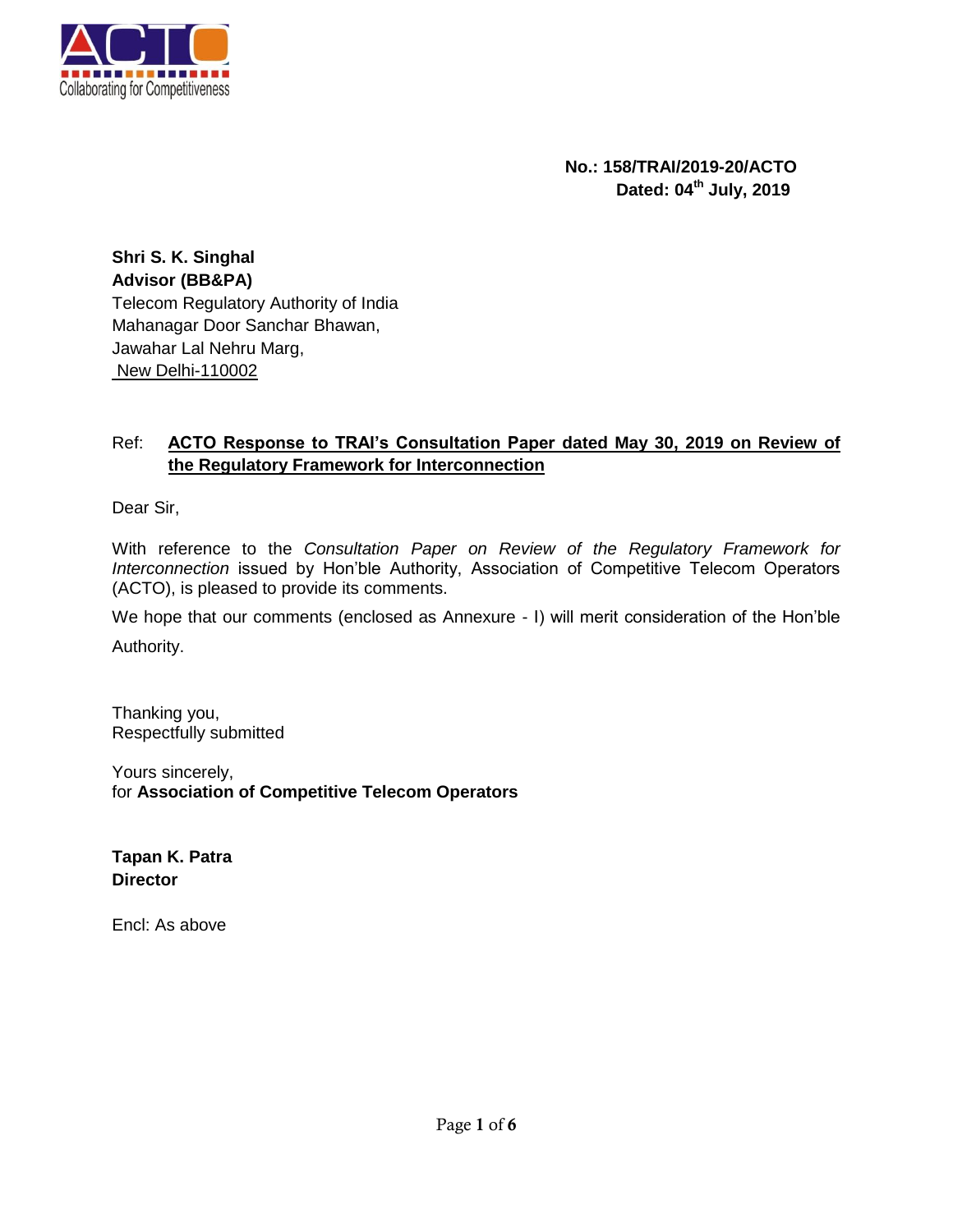

**No.: 158/TRAI/2019-20/ACTO Dated: 04th July, 2019**

**Shri S. K. Singhal Advisor (BB&PA)** Telecom Regulatory Authority of India Mahanagar Door Sanchar Bhawan, Jawahar Lal Nehru Marg, New Delhi-110002

## Ref: **ACTO Response to TRAI's Consultation Paper dated May 30, 2019 on Review of the Regulatory Framework for Interconnection**

Dear Sir,

With reference to the *Consultation Paper on Review of the Regulatory Framework for Interconnection* issued by Hon'ble Authority, Association of Competitive Telecom Operators (ACTO), is pleased to provide its comments.

We hope that our comments (enclosed as Annexure - I) will merit consideration of the Hon'ble

Authority.

Thanking you, Respectfully submitted

Yours sincerely, for **Association of Competitive Telecom Operators**

**Tapan K. Patra Director**

Encl: As above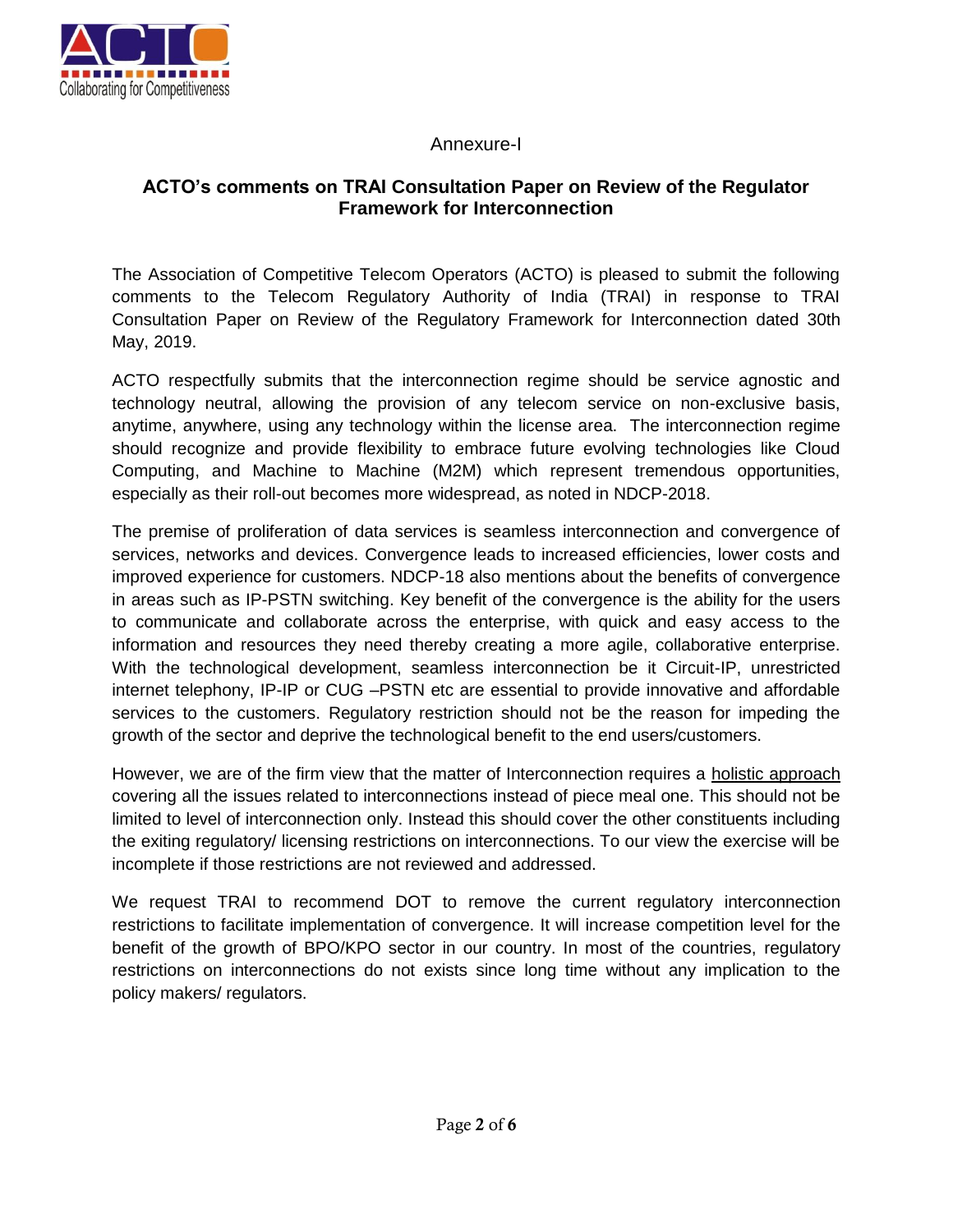

# Annexure-I

# **ACTO's comments on TRAI Consultation Paper on Review of the Regulator Framework for Interconnection**

The Association of Competitive Telecom Operators (ACTO) is pleased to submit the following comments to the Telecom Regulatory Authority of India (TRAI) in response to TRAI Consultation Paper on Review of the Regulatory Framework for Interconnection dated 30th May, 2019.

ACTO respectfully submits that the interconnection regime should be service agnostic and technology neutral, allowing the provision of any telecom service on non-exclusive basis, anytime, anywhere, using any technology within the license area. The interconnection regime should recognize and provide flexibility to embrace future evolving technologies like Cloud Computing, and Machine to Machine (M2M) which represent tremendous opportunities, especially as their roll-out becomes more widespread, as noted in NDCP-2018.

The premise of proliferation of data services is seamless interconnection and convergence of services, networks and devices. Convergence leads to increased efficiencies, lower costs and improved experience for customers. NDCP-18 also mentions about the benefits of convergence in areas such as IP-PSTN switching. Key benefit of the convergence is the ability for the users to communicate and collaborate across the enterprise, with quick and easy access to the information and resources they need thereby creating a more agile, collaborative enterprise. With the technological development, seamless interconnection be it Circuit-IP, unrestricted internet telephony, IP-IP or CUG –PSTN etc are essential to provide innovative and affordable services to the customers. Regulatory restriction should not be the reason for impeding the growth of the sector and deprive the technological benefit to the end users/customers.

However, we are of the firm view that the matter of Interconnection requires a holistic approach covering all the issues related to interconnections instead of piece meal one. This should not be limited to level of interconnection only. Instead this should cover the other constituents including the exiting regulatory/ licensing restrictions on interconnections. To our view the exercise will be incomplete if those restrictions are not reviewed and addressed.

We request TRAI to recommend DOT to remove the current regulatory interconnection restrictions to facilitate implementation of convergence. It will increase competition level for the benefit of the growth of BPO/KPO sector in our country. In most of the countries, regulatory restrictions on interconnections do not exists since long time without any implication to the policy makers/ regulators.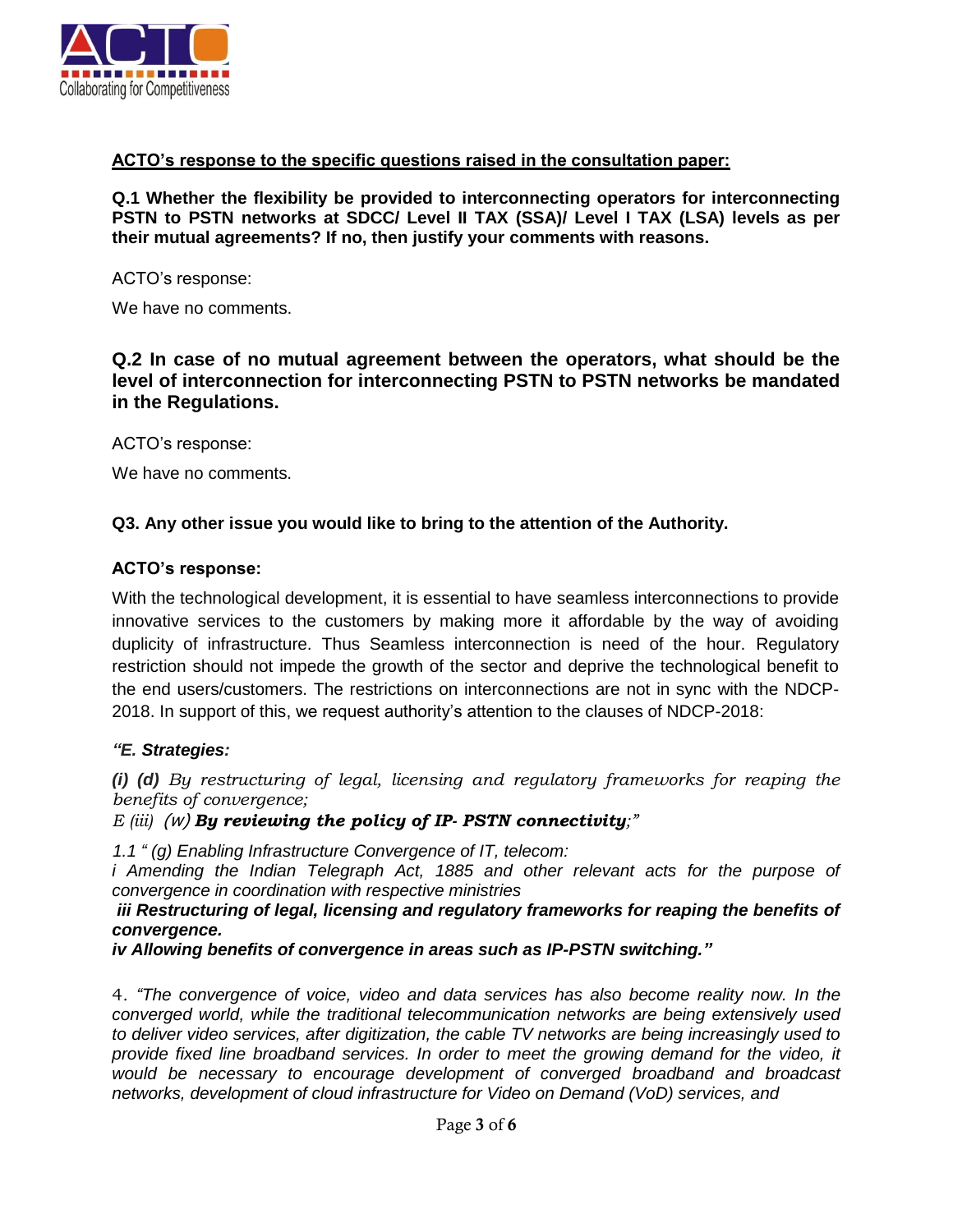

## **ACTO's response to the specific questions raised in the consultation paper:**

**Q.1 Whether the flexibility be provided to interconnecting operators for interconnecting PSTN to PSTN networks at SDCC/ Level II TAX (SSA)/ Level I TAX (LSA) levels as per their mutual agreements? If no, then justify your comments with reasons.** 

ACTO's response:

We have no comments.

**Q.2 In case of no mutual agreement between the operators, what should be the level of interconnection for interconnecting PSTN to PSTN networks be mandated in the Regulations.** 

ACTO's response:

We have no comments.

### **Q3. Any other issue you would like to bring to the attention of the Authority.**

#### **ACTO's response:**

With the technological development, it is essential to have seamless interconnections to provide innovative services to the customers by making more it affordable by the way of avoiding duplicity of infrastructure. Thus Seamless interconnection is need of the hour. Regulatory restriction should not impede the growth of the sector and deprive the technological benefit to the end users/customers. The restrictions on interconnections are not in sync with the NDCP-2018. In support of this, we request authority's attention to the clauses of NDCP-2018:

### *"E. Strategies:*

*(i) (d) By restructuring of legal, licensing and regulatory frameworks for reaping the benefits of convergence;*

*E (iii)* (w) *By reviewing the policy of IP- PSTN connectivity;"*

*1.1 " (g) Enabling Infrastructure Convergence of IT, telecom:* 

*i* Amending the Indian Telegraph Act, 1885 and other relevant acts for the purpose of *convergence in coordination with respective ministries*

#### *iii Restructuring of legal, licensing and regulatory frameworks for reaping the benefits of convergence.*

*iv Allowing benefits of convergence in areas such as IP-PSTN switching."*

4*. "The convergence of voice, video and data services has also become reality now. In the converged world, while the traditional telecommunication networks are being extensively used to deliver video services, after digitization, the cable TV networks are being increasingly used to provide fixed line broadband services. In order to meet the growing demand for the video, it would be necessary to encourage development of converged broadband and broadcast networks, development of cloud infrastructure for Video on Demand (VoD) services, and*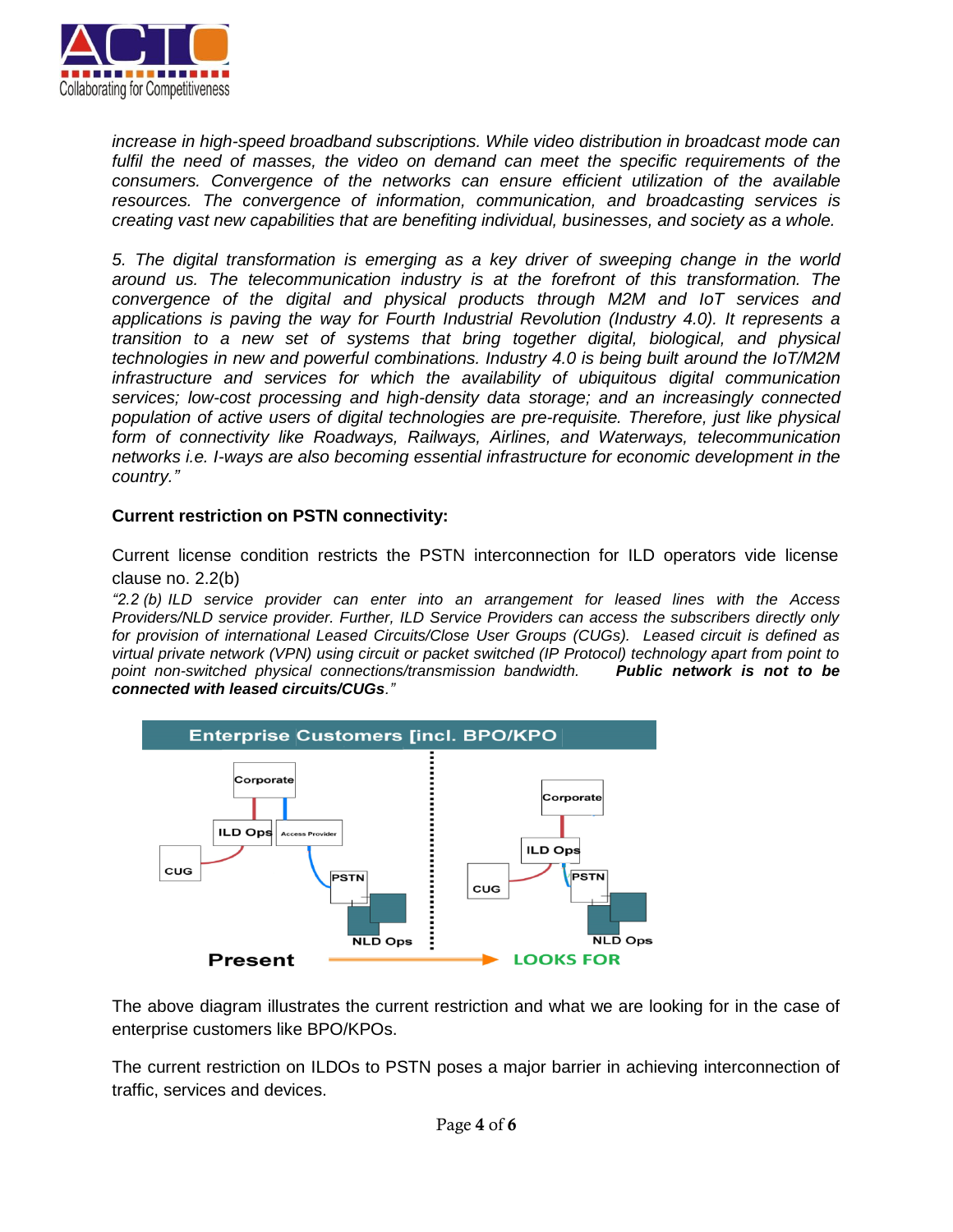

*increase in high-speed broadband subscriptions. While video distribution in broadcast mode can fulfil the need of masses, the video on demand can meet the specific requirements of the consumers. Convergence of the networks can ensure efficient utilization of the available resources. The convergence of information, communication, and broadcasting services is creating vast new capabilities that are benefiting individual, businesses, and society as a whole.*

*5. The digital transformation is emerging as a key driver of sweeping change in the world around us. The telecommunication industry is at the forefront of this transformation. The convergence of the digital and physical products through M2M and IoT services and applications is paving the way for Fourth Industrial Revolution (Industry 4.0). It represents a transition to a new set of systems that bring together digital, biological, and physical technologies in new and powerful combinations. Industry 4.0 is being built around the IoT/M2M infrastructure and services for which the availability of ubiquitous digital communication services; low-cost processing and high-density data storage; and an increasingly connected population of active users of digital technologies are pre-requisite. Therefore, just like physical form of connectivity like Roadways, Railways, Airlines, and Waterways, telecommunication networks i.e. I-ways are also becoming essential infrastructure for economic development in the country."*

#### **Current restriction on PSTN connectivity:**

Current license condition restricts the PSTN interconnection for ILD operators vide license clause no. 2.2(b)

*"2.2 (b) ILD service provider can enter into an arrangement for leased lines with the Access Providers/NLD service provider. Further, ILD Service Providers can access the subscribers directly only for provision of international Leased Circuits/Close User Groups (CUGs). Leased circuit is defined as virtual private network (VPN) using circuit or packet switched (IP Protocol) technology apart from point to point non-switched physical connections/transmission bandwidth. Public network is not to be connected with leased circuits/CUGs."*



The above diagram illustrates the current restriction and what we are looking for in the case of enterprise customers like BPO/KPOs.

The current restriction on ILDOs to PSTN poses a major barrier in achieving interconnection of traffic, services and devices.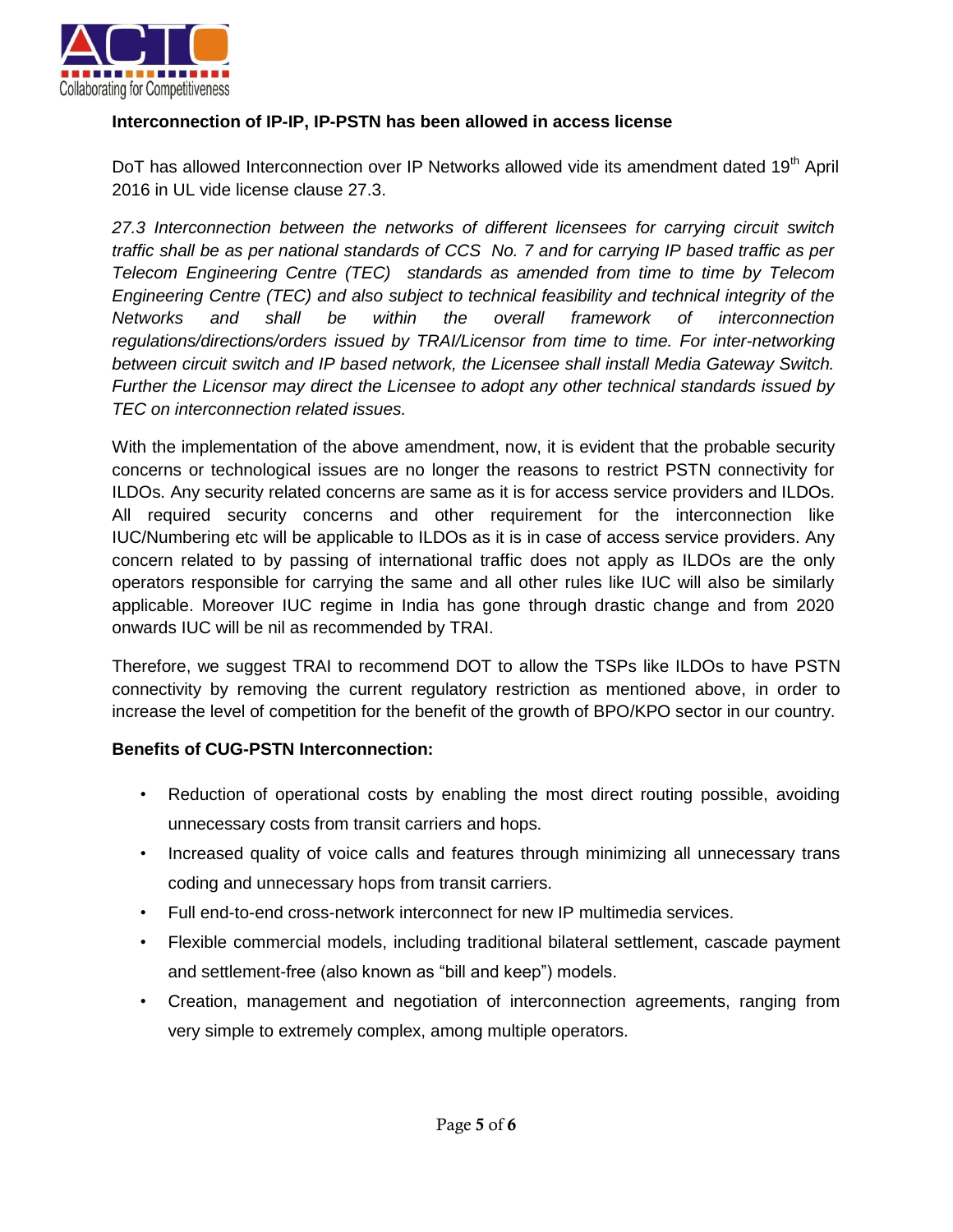

## **Interconnection of IP-IP, IP-PSTN has been allowed in access license**

DoT has allowed Interconnection over IP Networks allowed vide its amendment dated 19<sup>th</sup> April 2016 in UL vide license clause 27.3.

*27.3 Interconnection between the networks of different licensees for carrying circuit switch traffic shall be as per national standards of CCS No. 7 and for carrying IP based traffic as per Telecom Engineering Centre (TEC) standards as amended from time to time by Telecom Engineering Centre (TEC) and also subject to technical feasibility and technical integrity of the Networks and shall be within the overall framework of interconnection regulations/directions/orders issued by TRAI/Licensor from time to time. For inter-networking between circuit switch and IP based network, the Licensee shall install Media Gateway Switch. Further the Licensor may direct the Licensee to adopt any other technical standards issued by TEC on interconnection related issues.* 

With the implementation of the above amendment, now, it is evident that the probable security concerns or technological issues are no longer the reasons to restrict PSTN connectivity for ILDOs. Any security related concerns are same as it is for access service providers and ILDOs. All required security concerns and other requirement for the interconnection like IUC/Numbering etc will be applicable to ILDOs as it is in case of access service providers. Any concern related to by passing of international traffic does not apply as ILDOs are the only operators responsible for carrying the same and all other rules like IUC will also be similarly applicable. Moreover IUC regime in India has gone through drastic change and from 2020 onwards IUC will be nil as recommended by TRAI.

Therefore, we suggest TRAI to recommend DOT to allow the TSPs like ILDOs to have PSTN connectivity by removing the current regulatory restriction as mentioned above, in order to increase the level of competition for the benefit of the growth of BPO/KPO sector in our country.

### **Benefits of CUG-PSTN Interconnection:**

- Reduction of operational costs by enabling the most direct routing possible, avoiding unnecessary costs from transit carriers and hops.
- Increased quality of voice calls and features through minimizing all unnecessary trans coding and unnecessary hops from transit carriers.
- Full end-to-end cross-network interconnect for new IP multimedia services.
- Flexible commercial models, including traditional bilateral settlement, cascade payment and settlement-free (also known as "bill and keep") models.
- Creation, management and negotiation of interconnection agreements, ranging from very simple to extremely complex, among multiple operators.